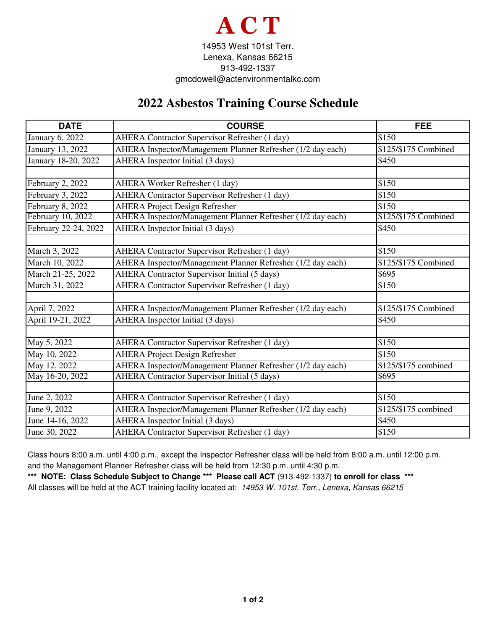

## **2022 Asbestos Training Course Schedule**

| <b>DATE</b>          | <b>COURSE</b>                                               | <b>FEE</b>           |
|----------------------|-------------------------------------------------------------|----------------------|
| January 6, 2022      | AHERA Contractor Supervisor Refresher (1 day)               | \$150                |
| January 13, 2022     | AHERA Inspector/Management Planner Refresher (1/2 day each) | \$125/\$175 Combined |
| January 18-20, 2022  | AHERA Inspector Initial (3 days)                            | \$450                |
|                      |                                                             |                      |
| February 2, 2022     | AHERA Worker Refresher (1 day)                              | \$150                |
| February 3, 2022     | AHERA Contractor Supervisor Refresher (1 day)               | \$150                |
| February 8, 2022     | <b>AHERA Project Design Refresher</b>                       | \$150                |
| February 10, 2022    | AHERA Inspector/Management Planner Refresher (1/2 day each) | \$125/\$175 Combined |
| February 22-24, 2022 | AHERA Inspector Initial (3 days)                            | \$450                |
|                      |                                                             |                      |
| March 3, 2022        | AHERA Contractor Supervisor Refresher (1 day)               | \$150                |
| March 10, 2022       | AHERA Inspector/Management Planner Refresher (1/2 day each) | \$125/\$175 Combined |
| March 21-25, 2022    | <b>AHERA</b> Contractor Supervisor Initial (5 days)         | \$695                |
| March 31, 2022       | <b>AHERA Contractor Supervisor Refresher (1 day)</b>        | \$150                |
|                      |                                                             |                      |
| April 7, 2022        | AHERA Inspector/Management Planner Refresher (1/2 day each) | \$125/\$175 Combined |
| April 19-21, 2022    | AHERA Inspector Initial (3 days)                            | \$450                |
|                      |                                                             |                      |
| May 5, 2022          | AHERA Contractor Supervisor Refresher (1 day)               | \$150                |
| May 10, 2022         | <b>AHERA Project Design Refresher</b>                       | \$150                |
| May 12, 2022         | AHERA Inspector/Management Planner Refresher (1/2 day each) | \$125/\$175 combined |
| May 16-20, 2022      | <b>AHERA Contractor Supervisor Initial (5 days)</b>         | \$695                |
|                      |                                                             |                      |
| June 2, 2022         | AHERA Contractor Supervisor Refresher (1 day)               | \$150                |
| June 9, 2022         | AHERA Inspector/Management Planner Refresher (1/2 day each) | \$125/\$175 combined |
| June 14-16, 2022     | AHERA Inspector Initial (3 days)                            | \$450                |
| June 30, 2022        | AHERA Contractor Supervisor Refresher (1 day)               | \$150                |

Class hours 8:00 a.m. until 4:00 p.m., except the Inspector Refresher class will be held from 8:00 a.m. until 12:00 p.m. and the Management Planner Refresher class will be held from 12:30 p.m. until 4:30 p.m.

**\*\*\* NOTE: Class Schedule Subject to Change \*\*\* Please call ACT** (913-492-1337) **to enroll for class \*\*\*** All classes will be held at the ACT training facility located at: 14953 W. 101st. Terr., Lenexa, Kansas 66215